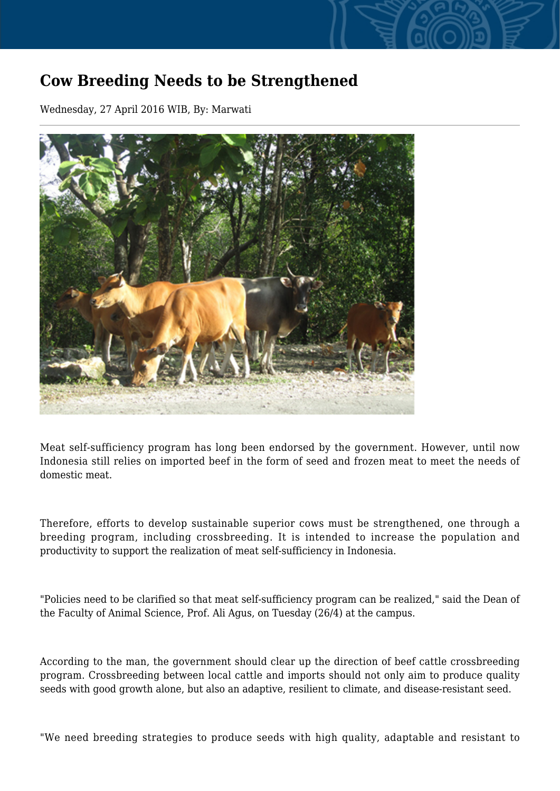## **Cow Breeding Needs to be Strengthened**

Wednesday, 27 April 2016 WIB, By: Marwati



Meat self-sufficiency program has long been endorsed by the government. However, until now Indonesia still relies on imported beef in the form of seed and frozen meat to meet the needs of domestic meat.

Therefore, efforts to develop sustainable superior cows must be strengthened, one through a breeding program, including crossbreeding. It is intended to increase the population and productivity to support the realization of meat self-sufficiency in Indonesia.

"Policies need to be clarified so that meat self-sufficiency program can be realized," said the Dean of the Faculty of Animal Science, Prof. Ali Agus, on Tuesday (26/4) at the campus.

According to the man, the government should clear up the direction of beef cattle crossbreeding program. Crossbreeding between local cattle and imports should not only aim to produce quality seeds with good growth alone, but also an adaptive, resilient to climate, and disease-resistant seed.

"We need breeding strategies to produce seeds with high quality, adaptable and resistant to